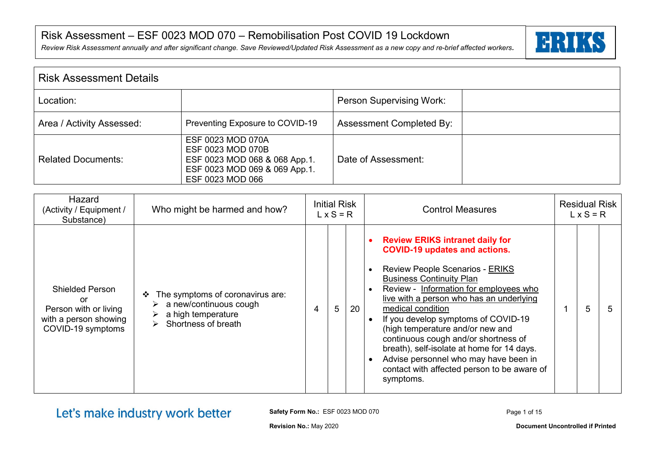*Review Risk Assessment annually and after significant change. Save Reviewed/Updated Risk Assessment as a new copy and re-brief affected workers.*



| l Risk Assessment Details |                                                                                                                              |                                 |  |  |  |  |  |  |
|---------------------------|------------------------------------------------------------------------------------------------------------------------------|---------------------------------|--|--|--|--|--|--|
| Location:                 |                                                                                                                              | <b>Person Supervising Work:</b> |  |  |  |  |  |  |
| Area / Activity Assessed: | Preventing Exposure to COVID-19                                                                                              | <b>Assessment Completed By:</b> |  |  |  |  |  |  |
| Related Documents:        | ESF 0023 MOD 070A<br>ESF 0023 MOD 070B<br>ESF 0023 MOD 068 & 068 App.1.<br>ESF 0023 MOD 069 & 069 App.1.<br>ESF 0023 MOD 066 | Date of Assessment:             |  |  |  |  |  |  |

| Hazard<br>(Activity / Equipment /<br>Substance)                                                     | Who might be harmed and how?                                                                                                               |   | <b>Initial Risk</b><br>$L \times S = R$ |    | <b>Residual Risk</b><br><b>Control Measures</b><br>$L \times S = R$                                                                                                                                                                                                                                                                                                                                                                                                                                                                               |   |
|-----------------------------------------------------------------------------------------------------|--------------------------------------------------------------------------------------------------------------------------------------------|---|-----------------------------------------|----|---------------------------------------------------------------------------------------------------------------------------------------------------------------------------------------------------------------------------------------------------------------------------------------------------------------------------------------------------------------------------------------------------------------------------------------------------------------------------------------------------------------------------------------------------|---|
| <b>Shielded Person</b><br>or<br>Person with or living<br>with a person showing<br>COVID-19 symptoms | The symptoms of coronavirus are:<br>❖<br>a new/continuous cough<br>➤<br>a high temperature<br>Shortness of breath<br>$\blacktriangleright$ | 4 | 5                                       | 20 | <b>Review ERIKS intranet daily for</b><br><b>COVID-19 updates and actions.</b><br><b>Review People Scenarios - ERIKS</b><br><b>Business Continuity Plan</b><br>Review - Information for employees who<br>live with a person who has an underlying<br>medical condition<br>5<br>If you develop symptoms of COVID-19<br>(high temperature and/or new and<br>continuous cough and/or shortness of<br>breath), self-isolate at home for 14 days.<br>Advise personnel who may have been in<br>contact with affected person to be aware of<br>symptoms. | 5 |

Let's make industry work better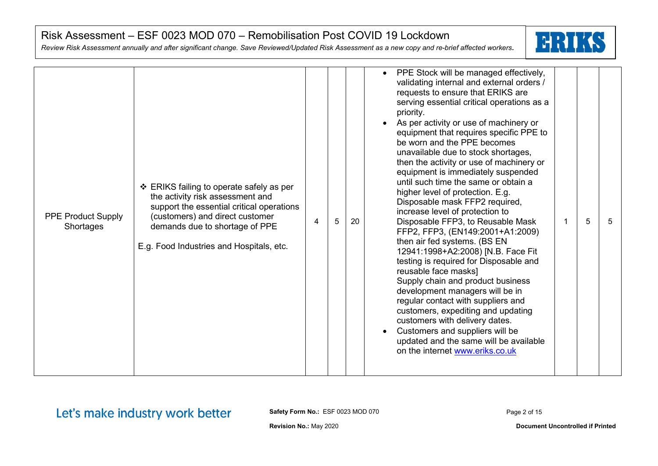*Review Risk Assessment annually and after significant change. Save Reviewed/Updated Risk Assessment as a new copy and re-brief affected workers.*



| <b>PPE Product Supply</b><br>Shortages | ❖ ERIKS failing to operate safely as per<br>the activity risk assessment and<br>support the essential critical operations<br>(customers) and direct customer<br>demands due to shortage of PPE<br>E.g. Food Industries and Hospitals, etc. | 4 | 5 | 20 | PPE Stock will be managed effectively,<br>$\bullet$<br>validating internal and external orders /<br>requests to ensure that ERIKS are<br>serving essential critical operations as a<br>priority.<br>As per activity or use of machinery or<br>equipment that requires specific PPE to<br>be worn and the PPE becomes<br>unavailable due to stock shortages,<br>then the activity or use of machinery or<br>equipment is immediately suspended<br>until such time the same or obtain a<br>higher level of protection. E.g.<br>Disposable mask FFP2 required,<br>increase level of protection to<br>5<br>Disposable FFP3, to Reusable Mask<br>$\mathbf 1$<br>5<br>FFP2, FFP3, (EN149:2001+A1:2009)<br>then air fed systems. (BS EN<br>12941:1998+A2:2008) [N.B. Face Fit<br>testing is required for Disposable and<br>reusable face masks]<br>Supply chain and product business<br>development managers will be in<br>regular contact with suppliers and<br>customers, expediting and updating<br>customers with delivery dates.<br>Customers and suppliers will be<br>updated and the same will be available<br>on the internet www.eriks.co.uk |
|----------------------------------------|--------------------------------------------------------------------------------------------------------------------------------------------------------------------------------------------------------------------------------------------|---|---|----|------------------------------------------------------------------------------------------------------------------------------------------------------------------------------------------------------------------------------------------------------------------------------------------------------------------------------------------------------------------------------------------------------------------------------------------------------------------------------------------------------------------------------------------------------------------------------------------------------------------------------------------------------------------------------------------------------------------------------------------------------------------------------------------------------------------------------------------------------------------------------------------------------------------------------------------------------------------------------------------------------------------------------------------------------------------------------------------------------------------------------------------------|
|----------------------------------------|--------------------------------------------------------------------------------------------------------------------------------------------------------------------------------------------------------------------------------------------|---|---|----|------------------------------------------------------------------------------------------------------------------------------------------------------------------------------------------------------------------------------------------------------------------------------------------------------------------------------------------------------------------------------------------------------------------------------------------------------------------------------------------------------------------------------------------------------------------------------------------------------------------------------------------------------------------------------------------------------------------------------------------------------------------------------------------------------------------------------------------------------------------------------------------------------------------------------------------------------------------------------------------------------------------------------------------------------------------------------------------------------------------------------------------------|

Let's make industry work better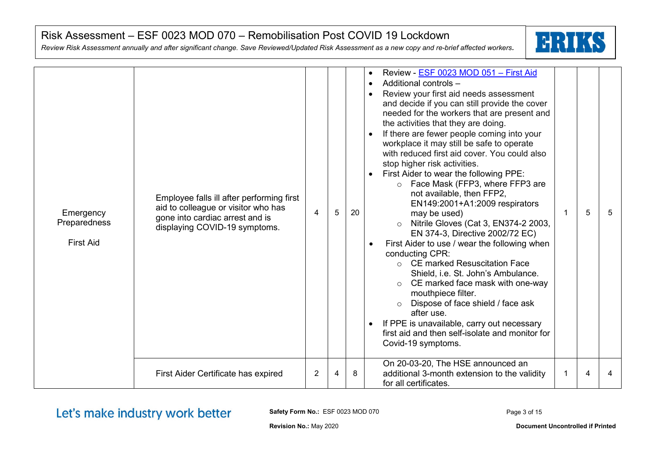*Review Risk Assessment annually and after significant change. Save Reviewed/Updated Risk Assessment as a new copy and re-brief affected workers.*



| Emergency<br>Preparedness<br><b>First Aid</b> | Employee falls ill after performing first<br>aid to colleague or visitor who has<br>gone into cardiac arrest and is<br>displaying COVID-19 symptoms. | 4 | 5 | 20 | Review - ESF 0023 MOD 051 - First Aid<br>$\bullet$<br>Additional controls -<br>$\bullet$<br>Review your first aid needs assessment<br>and decide if you can still provide the cover<br>needed for the workers that are present and<br>the activities that they are doing.<br>If there are fewer people coming into your<br>workplace it may still be safe to operate<br>with reduced first aid cover. You could also<br>stop higher risk activities.<br>First Aider to wear the following PPE:<br>$\circ$ Face Mask (FFP3, where FFP3 are<br>not available, then FFP2,<br>EN149:2001+A1:2009 respirators<br>may be used)<br>Nitrile Gloves (Cat 3, EN374-2 2003,<br>EN 374-3, Directive 2002/72 EC)<br>First Aider to use / wear the following when<br>conducting CPR:<br>○ CE marked Resuscitation Face<br>Shield, i.e. St. John's Ambulance.<br>CE marked face mask with one-way<br>mouthpiece filter.<br>Dispose of face shield / face ask<br>$\circ$<br>after use.<br>If PPE is unavailable, carry out necessary<br>first aid and then self-isolate and monitor for<br>Covid-19 symptoms.<br>On 20-03-20, The HSE announced an | 5 | 5 |
|-----------------------------------------------|------------------------------------------------------------------------------------------------------------------------------------------------------|---|---|----|------------------------------------------------------------------------------------------------------------------------------------------------------------------------------------------------------------------------------------------------------------------------------------------------------------------------------------------------------------------------------------------------------------------------------------------------------------------------------------------------------------------------------------------------------------------------------------------------------------------------------------------------------------------------------------------------------------------------------------------------------------------------------------------------------------------------------------------------------------------------------------------------------------------------------------------------------------------------------------------------------------------------------------------------------------------------------------------------------------------------------------|---|---|
|                                               | First Aider Certificate has expired                                                                                                                  | 2 | 4 | 8  | additional 3-month extension to the validity<br>for all certificates.                                                                                                                                                                                                                                                                                                                                                                                                                                                                                                                                                                                                                                                                                                                                                                                                                                                                                                                                                                                                                                                              | 4 |   |

Let's make industry work better

**Safety Form No.:** ESF 0023 MOD 070

Page 3 of 15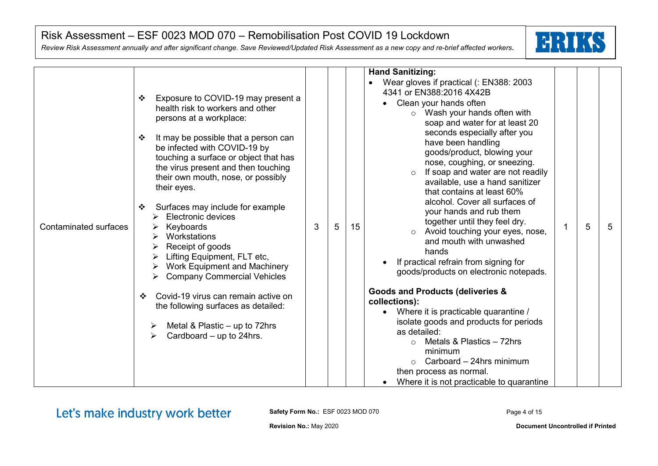*Review Risk Assessment annually and after significant change. Save Reviewed/Updated Risk Assessment as a new copy and re-brief affected workers.*



Let's make industry work better

**Safety Form No.:** ESF 0023 MOD 070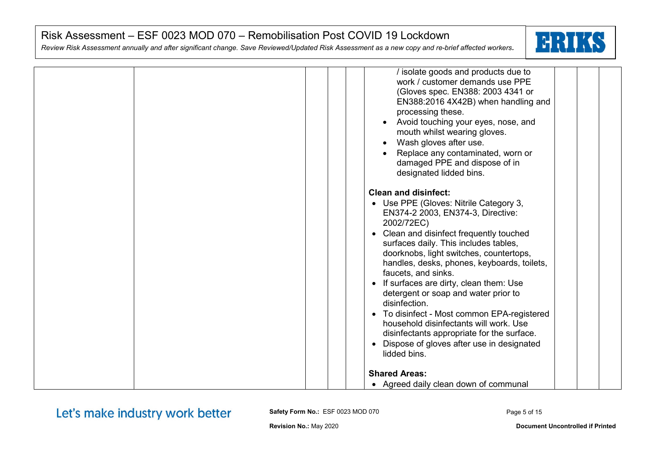*Review Risk Assessment annually and after significant change. Save Reviewed/Updated Risk Assessment as a new copy and re-brief affected workers.*



|  | / isolate goods and products due to<br>work / customer demands use PPE<br>(Gloves spec. EN388: 2003 4341 or<br>EN388:2016 4X42B) when handling and<br>processing these.<br>Avoid touching your eyes, nose, and<br>mouth whilst wearing gloves.<br>Wash gloves after use.<br>Replace any contaminated, worn or<br>damaged PPE and dispose of in<br>designated lidded bins.                                                                                                                                                                                                                                                                      |
|--|------------------------------------------------------------------------------------------------------------------------------------------------------------------------------------------------------------------------------------------------------------------------------------------------------------------------------------------------------------------------------------------------------------------------------------------------------------------------------------------------------------------------------------------------------------------------------------------------------------------------------------------------|
|  | <b>Clean and disinfect:</b><br>• Use PPE (Gloves: Nitrile Category 3,<br>EN374-2 2003, EN374-3, Directive:<br>2002/72EC)<br>Clean and disinfect frequently touched<br>$\bullet$<br>surfaces daily. This includes tables,<br>doorknobs, light switches, countertops,<br>handles, desks, phones, keyboards, toilets,<br>faucets, and sinks.<br>If surfaces are dirty, clean them: Use<br>detergent or soap and water prior to<br>disinfection.<br>To disinfect - Most common EPA-registered<br>household disinfectants will work. Use<br>disinfectants appropriate for the surface.<br>Dispose of gloves after use in designated<br>lidded bins. |
|  | <b>Shared Areas:</b><br>• Agreed daily clean down of communal                                                                                                                                                                                                                                                                                                                                                                                                                                                                                                                                                                                  |

Let's make industry work better

**Safety Form No.:** ESF 0023 MOD 070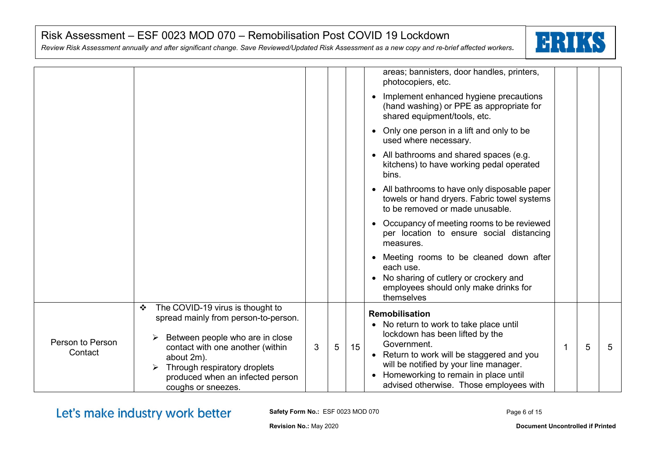*Review Risk Assessment annually and after significant change. Save Reviewed/Updated Risk Assessment as a new copy and re-brief affected workers.*



|                             |                                                                                                                                                                                                                                                              |   |   |                  | areas; bannisters, door handles, printers,<br>photocopiers, etc.<br>Implement enhanced hygiene precautions<br>(hand washing) or PPE as appropriate for<br>shared equipment/tools, etc.<br>Only one person in a lift and only to be                                                                  |   |   |
|-----------------------------|--------------------------------------------------------------------------------------------------------------------------------------------------------------------------------------------------------------------------------------------------------------|---|---|------------------|-----------------------------------------------------------------------------------------------------------------------------------------------------------------------------------------------------------------------------------------------------------------------------------------------------|---|---|
|                             |                                                                                                                                                                                                                                                              |   |   |                  | used where necessary.<br>• All bathrooms and shared spaces (e.g.<br>kitchens) to have working pedal operated<br>bins.                                                                                                                                                                               |   |   |
|                             |                                                                                                                                                                                                                                                              |   |   |                  | • All bathrooms to have only disposable paper<br>towels or hand dryers. Fabric towel systems<br>to be removed or made unusable.                                                                                                                                                                     |   |   |
|                             |                                                                                                                                                                                                                                                              |   |   |                  | Occupancy of meeting rooms to be reviewed<br>$\bullet$<br>per location to ensure social distancing<br>measures.                                                                                                                                                                                     |   |   |
|                             |                                                                                                                                                                                                                                                              |   |   |                  | Meeting rooms to be cleaned down after<br>each use.<br>No sharing of cutlery or crockery and<br>$\bullet$<br>employees should only make drinks for<br>themselves                                                                                                                                    |   |   |
| Person to Person<br>Contact | The COVID-19 virus is thought to<br>❖<br>spread mainly from person-to-person.<br>Between people who are in close<br>contact with one another (within<br>about 2m).<br>Through respiratory droplets<br>produced when an infected person<br>coughs or sneezes. | 3 | 5 | 15 <sup>15</sup> | Remobilisation<br>• No return to work to take place until<br>lockdown has been lifted by the<br>Government.<br>• Return to work will be staggered and you<br>will be notified by your line manager.<br>Homeworking to remain in place until<br>$\bullet$<br>advised otherwise. Those employees with | 5 | 5 |

Let's make industry work better

**Safety Form No.:** ESF 0023 MOD 070

Page 6 of 15

**Revision No.:** May 2020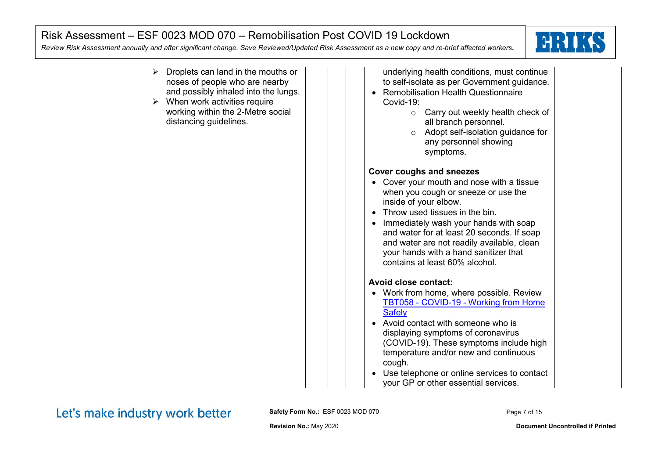*Review Risk Assessment annually and after significant change. Save Reviewed/Updated Risk Assessment as a new copy and re-brief affected workers.*



| Droplets can land in the mouths or<br>➤<br>noses of people who are nearby<br>and possibly inhaled into the lungs.<br>When work activities require<br>working within the 2-Metre social<br>distancing guidelines. | underlying health conditions, must continue<br>to self-isolate as per Government guidance.<br><b>Remobilisation Health Questionnaire</b><br>Covid-19:<br>Carry out weekly health check of<br>$\circ$<br>all branch personnel.<br>Adopt self-isolation guidance for<br>$\circ$<br>any personnel showing<br>symptoms.                                                                                         |
|------------------------------------------------------------------------------------------------------------------------------------------------------------------------------------------------------------------|-------------------------------------------------------------------------------------------------------------------------------------------------------------------------------------------------------------------------------------------------------------------------------------------------------------------------------------------------------------------------------------------------------------|
|                                                                                                                                                                                                                  | <b>Cover coughs and sneezes</b><br>• Cover your mouth and nose with a tissue<br>when you cough or sneeze or use the<br>inside of your elbow.<br>Throw used tissues in the bin.<br>Immediately wash your hands with soap<br>$\bullet$<br>and water for at least 20 seconds. If soap<br>and water are not readily available, clean<br>your hands with a hand sanitizer that<br>contains at least 60% alcohol. |
|                                                                                                                                                                                                                  | <b>Avoid close contact:</b><br>• Work from home, where possible. Review<br>TBT058 - COVID-19 - Working from Home<br><b>Safely</b><br>• Avoid contact with someone who is<br>displaying symptoms of coronavirus<br>(COVID-19). These symptoms include high<br>temperature and/or new and continuous<br>cough.<br>Use telephone or online services to contact<br>your GP or other essential services.         |

Let's make industry work better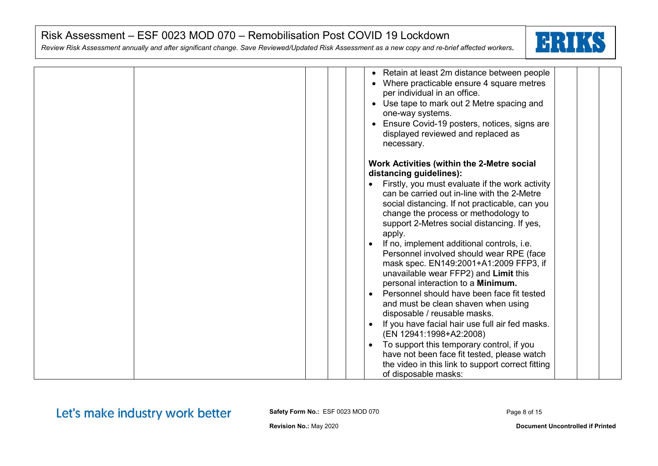*Review Risk Assessment annually and after significant change. Save Reviewed/Updated Risk Assessment as a new copy and re-brief affected workers.*



|  | • Retain at least 2m distance between people<br>Where practicable ensure 4 square metres<br>per individual in an office.<br>• Use tape to mark out 2 Metre spacing and<br>one-way systems.<br>Ensure Covid-19 posters, notices, signs are<br>displayed reviewed and replaced as<br>necessary.                                                                                                                                                                                                                                                                                                                                                                                                      |
|--|----------------------------------------------------------------------------------------------------------------------------------------------------------------------------------------------------------------------------------------------------------------------------------------------------------------------------------------------------------------------------------------------------------------------------------------------------------------------------------------------------------------------------------------------------------------------------------------------------------------------------------------------------------------------------------------------------|
|  | Work Activities (within the 2-Metre social                                                                                                                                                                                                                                                                                                                                                                                                                                                                                                                                                                                                                                                         |
|  | distancing guidelines):<br>Firstly, you must evaluate if the work activity<br>can be carried out in-line with the 2-Metre<br>social distancing. If not practicable, can you<br>change the process or methodology to<br>support 2-Metres social distancing. If yes,<br>apply.<br>If no, implement additional controls, i.e.<br>Personnel involved should wear RPE (face<br>mask spec. EN149:2001+A1:2009 FFP3, if<br>unavailable wear FFP2) and Limit this<br>personal interaction to a Minimum.<br>Personnel should have been face fit tested<br>and must be clean shaven when using<br>disposable / reusable masks.<br>If you have facial hair use full air fed masks.<br>(EN 12941:1998+A2:2008) |
|  | To support this temporary control, if you<br>$\bullet$<br>have not been face fit tested, please watch                                                                                                                                                                                                                                                                                                                                                                                                                                                                                                                                                                                              |
|  | the video in this link to support correct fitting<br>of disposable masks:                                                                                                                                                                                                                                                                                                                                                                                                                                                                                                                                                                                                                          |

# Let's make industry work better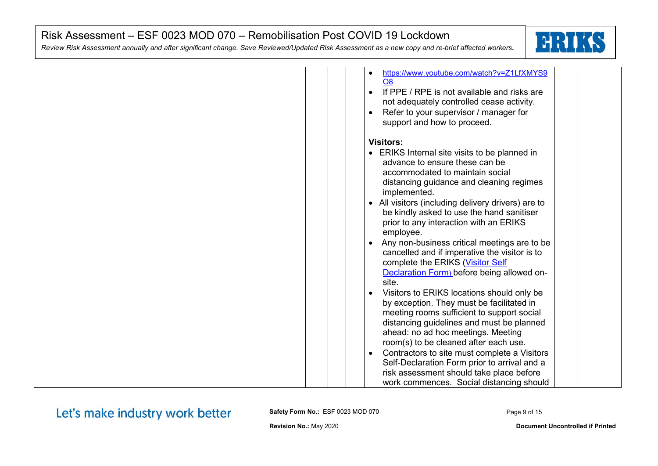*Review Risk Assessment annually and after significant change. Save Reviewed/Updated Risk Assessment as a new copy and re-brief affected workers.*



| https://www.youtube.com/watch?v=Z1LfXMYS9<br>$\bullet$<br>O <sub>8</sub> |
|--------------------------------------------------------------------------|
|                                                                          |
| If PPE / RPE is not available and risks are<br>$\bullet$                 |
| not adequately controlled cease activity.                                |
| Refer to your supervisor / manager for                                   |
| support and how to proceed.                                              |
| <b>Visitors:</b>                                                         |
| • ERIKS Internal site visits to be planned in                            |
|                                                                          |
| advance to ensure these can be                                           |
| accommodated to maintain social                                          |
| distancing guidance and cleaning regimes<br>implemented.                 |
| All visitors (including delivery drivers) are to                         |
| be kindly asked to use the hand sanitiser                                |
| prior to any interaction with an ERIKS                                   |
| employee.                                                                |
| Any non-business critical meetings are to be<br>$\bullet$                |
|                                                                          |
| cancelled and if imperative the visitor is to                            |
| complete the ERIKS (Visitor Self                                         |
| Declaration Form) before being allowed on-                               |
| site.                                                                    |
| Visitors to ERIKS locations should only be                               |
| by exception. They must be facilitated in                                |
| meeting rooms sufficient to support social                               |
| distancing guidelines and must be planned                                |
| ahead: no ad hoc meetings. Meeting                                       |
| room(s) to be cleaned after each use.                                    |
| Contractors to site must complete a Visitors<br>$\bullet$                |
| Self-Declaration Form prior to arrival and a                             |
| risk assessment should take place before                                 |
| work commences. Social distancing should                                 |

Let's make industry work better

**Safety Form No.:** ESF 0023 MOD 070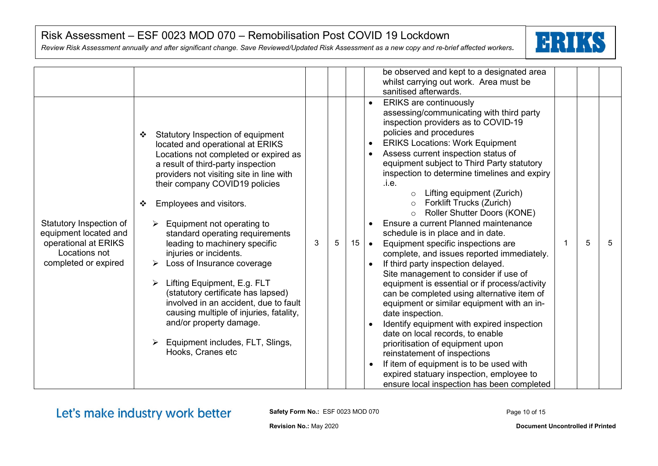*Review Risk Assessment annually and after significant change. Save Reviewed/Updated Risk Assessment as a new copy and re-brief affected workers.*



|                                                                                                                   |                                                                                                                                                                                                                                                                                                                                                                                                                                                                                                                                                                                                                                                                                           |   |    | be observed and kept to a designated area<br>whilst carrying out work. Area must be<br>sanitised afterwards.                                                                                                                                                                                                                                                                                                                                                                                                                                                                                                                                                                                                                                                                                                                                                                                                                                                                                                                                                                                                                                                                                     |
|-------------------------------------------------------------------------------------------------------------------|-------------------------------------------------------------------------------------------------------------------------------------------------------------------------------------------------------------------------------------------------------------------------------------------------------------------------------------------------------------------------------------------------------------------------------------------------------------------------------------------------------------------------------------------------------------------------------------------------------------------------------------------------------------------------------------------|---|----|--------------------------------------------------------------------------------------------------------------------------------------------------------------------------------------------------------------------------------------------------------------------------------------------------------------------------------------------------------------------------------------------------------------------------------------------------------------------------------------------------------------------------------------------------------------------------------------------------------------------------------------------------------------------------------------------------------------------------------------------------------------------------------------------------------------------------------------------------------------------------------------------------------------------------------------------------------------------------------------------------------------------------------------------------------------------------------------------------------------------------------------------------------------------------------------------------|
| Statutory Inspection of<br>equipment located and<br>operational at ERIKS<br>Locations not<br>completed or expired | Statutory Inspection of equipment<br>$\cdot$<br>located and operational at ERIKS<br>Locations not completed or expired as<br>a result of third-party inspection<br>providers not visiting site in line with<br>their company COVID19 policies<br>Employees and visitors.<br>❖<br>Equipment not operating to<br>standard operating requirements<br>3<br>leading to machinery specific<br>injuries or incidents.<br>Loss of Insurance coverage<br>Lifting Equipment, E.g. FLT<br>(statutory certificate has lapsed)<br>involved in an accident, due to fault<br>causing multiple of injuries, fatality,<br>and/or property damage.<br>Equipment includes, FLT, Slings,<br>Hooks, Cranes etc | 5 | 15 | <b>ERIKS</b> are continuously<br>assessing/communicating with third party<br>inspection providers as to COVID-19<br>policies and procedures<br><b>ERIKS Locations: Work Equipment</b><br>Assess current inspection status of<br>equipment subject to Third Party statutory<br>inspection to determine timelines and expiry<br>.i.e.<br>Lifting equipment (Zurich)<br>$\circ$<br>Forklift Trucks (Zurich)<br>$\circ$<br>Roller Shutter Doors (KONE)<br>$\circ$<br>Ensure a current Planned maintenance<br>schedule is in place and in date.<br>5<br>5<br>Equipment specific inspections are<br>$\bullet$<br>complete, and issues reported immediately.<br>If third party inspection delayed.<br>Site management to consider if use of<br>equipment is essential or if process/activity<br>can be completed using alternative item of<br>equipment or similar equipment with an in-<br>date inspection.<br>Identify equipment with expired inspection<br>date on local records, to enable<br>prioritisation of equipment upon<br>reinstatement of inspections<br>If item of equipment is to be used with<br>expired statuary inspection, employee to<br>ensure local inspection has been completed |

Let's make industry work better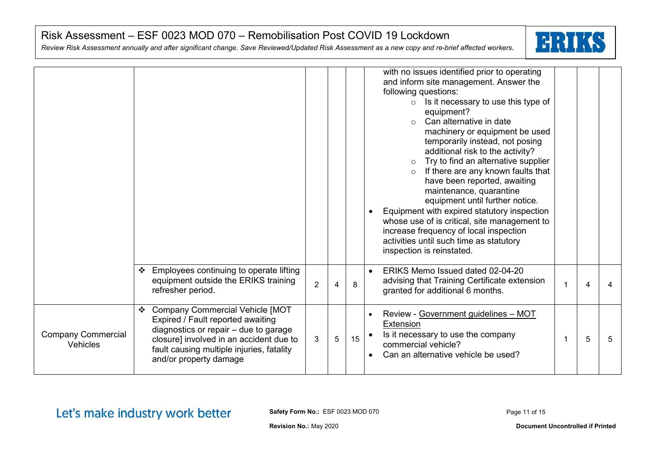*Review Risk Assessment annually and after significant change. Save Reviewed/Updated Risk Assessment as a new copy and re-brief affected workers.*



|                                              |                                                                                                                                                                                                                                        |                |                |    | with no issues identified prior to operating<br>and inform site management. Answer the<br>following questions:<br>Is it necessary to use this type of<br>$\circ$<br>equipment?<br>Can alternative in date<br>$\circ$<br>machinery or equipment be used<br>temporarily instead, not posing<br>additional risk to the activity?<br>Try to find an alternative supplier<br>$\circ$<br>If there are any known faults that<br>$\circ$<br>have been reported, awaiting<br>maintenance, quarantine<br>equipment until further notice.<br>Equipment with expired statutory inspection<br>whose use of is critical, site management to<br>increase frequency of local inspection<br>activities until such time as statutory<br>inspection is reinstated. |   |   |
|----------------------------------------------|----------------------------------------------------------------------------------------------------------------------------------------------------------------------------------------------------------------------------------------|----------------|----------------|----|-------------------------------------------------------------------------------------------------------------------------------------------------------------------------------------------------------------------------------------------------------------------------------------------------------------------------------------------------------------------------------------------------------------------------------------------------------------------------------------------------------------------------------------------------------------------------------------------------------------------------------------------------------------------------------------------------------------------------------------------------|---|---|
|                                              | Employees continuing to operate lifting<br>❖<br>equipment outside the ERIKS training<br>refresher period.                                                                                                                              | $\overline{2}$ | $\overline{4}$ | 8  | ERIKS Memo Issued dated 02-04-20<br>advising that Training Certificate extension<br>granted for additional 6 months.                                                                                                                                                                                                                                                                                                                                                                                                                                                                                                                                                                                                                            | 4 |   |
| <b>Company Commercial</b><br><b>Vehicles</b> | <b>Company Commercial Vehicle [MOT</b><br>Expired / Fault reported awaiting<br>diagnostics or repair - due to garage<br>closure] involved in an accident due to<br>fault causing multiple injuries, fatality<br>and/or property damage | 3              | 5              | 15 | Review - Government guidelines - MOT<br>Extension<br>Is it necessary to use the company<br>commercial vehicle?<br>Can an alternative vehicle be used?                                                                                                                                                                                                                                                                                                                                                                                                                                                                                                                                                                                           | 5 | 5 |

Let's make industry work better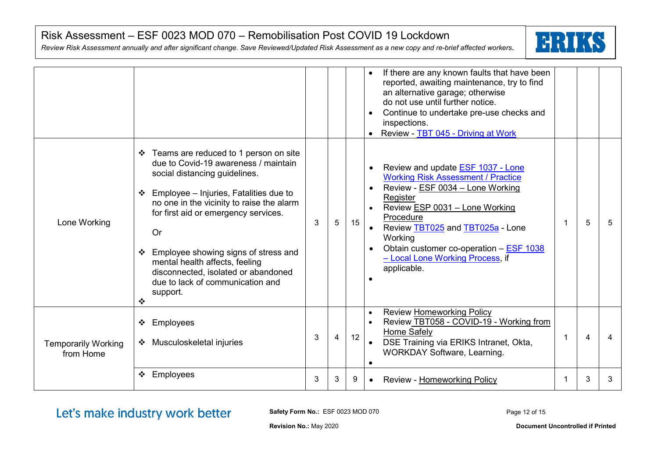*Review Risk Assessment annually and after significant change. Save Reviewed/Updated Risk Assessment as a new copy and re-brief affected workers.*



|                                         |                                                                                                                                                                                                                                                                                                                                                                                                                                    |   |                |    | If there are any known faults that have been<br>reported, awaiting maintenance, try to find<br>an alternative garage; otherwise<br>do not use until further notice.<br>Continue to undertake pre-use checks and<br>inspections.<br>Review - TBT 045 - Driving at Work                                                             |   |   |
|-----------------------------------------|------------------------------------------------------------------------------------------------------------------------------------------------------------------------------------------------------------------------------------------------------------------------------------------------------------------------------------------------------------------------------------------------------------------------------------|---|----------------|----|-----------------------------------------------------------------------------------------------------------------------------------------------------------------------------------------------------------------------------------------------------------------------------------------------------------------------------------|---|---|
| Lone Working                            | ❖ Teams are reduced to 1 person on site<br>due to Covid-19 awareness / maintain<br>social distancing guidelines.<br>Employee - Injuries, Fatalities due to<br>no one in the vicinity to raise the alarm<br>for first aid or emergency services.<br><b>Or</b><br>Employee showing signs of stress and<br>mental health affects, feeling<br>disconnected, isolated or abandoned<br>due to lack of communication and<br>support.<br>❖ | 3 | 5              | 15 | Review and update <b>ESF 1037 - Lone</b><br><b>Working Risk Assessment / Practice</b><br>Review - ESF 0034 - Lone Working<br>Register<br>Review ESP 0031 - Lone Working<br>Procedure<br>Review TBT025 and TBT025a - Lone<br>Working<br>Obtain customer co-operation - ESF 1038<br>- Local Lone Working Process, if<br>applicable. | 5 | 5 |
| <b>Temporarily Working</b><br>from Home | Employees<br>❖<br>Musculoskeletal injuries<br>❖                                                                                                                                                                                                                                                                                                                                                                                    | 3 | $\overline{4}$ | 12 | Review Homeworking Policy<br>$\bullet$<br>Review TBT058 - COVID-19 - Working from<br>Home Safely<br>DSE Training via ERIKS Intranet, Okta,<br><b>WORKDAY Software, Learning.</b>                                                                                                                                                  | 4 |   |
|                                         | Employees<br>❖                                                                                                                                                                                                                                                                                                                                                                                                                     | 3 | 3              | 9  | Review - Homeworking Policy                                                                                                                                                                                                                                                                                                       | 3 | 3 |

Let's make industry work better

**Safety Form No.:** ESF 0023 MOD 070

Page 12 of 15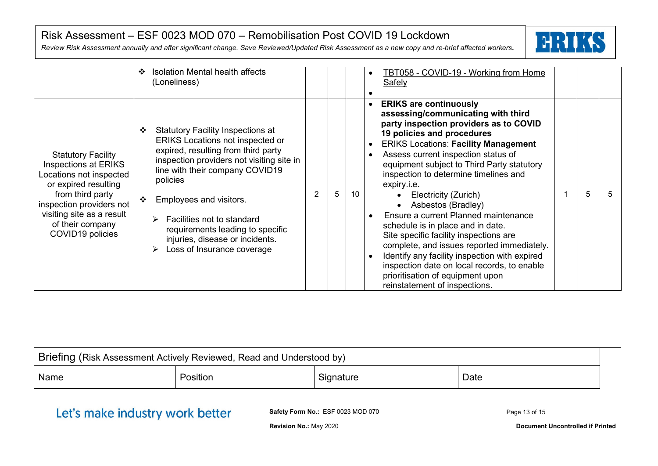*Review Risk Assessment annually and after significant change. Save Reviewed/Updated Risk Assessment as a new copy and re-brief affected workers.*



|                                                                                                                                                                                                                           | Isolation Mental health affects<br>❖<br>(Loneliness)                                                                                                                                                                                                                                                                                                                                                            |   |   |    | TBT058 - COVID-19 - Working from Home<br><b>Safely</b>                                                                                                                                                                                                                                                                                                                                                                                                                                                                                                                                                                                                                                                                               |
|---------------------------------------------------------------------------------------------------------------------------------------------------------------------------------------------------------------------------|-----------------------------------------------------------------------------------------------------------------------------------------------------------------------------------------------------------------------------------------------------------------------------------------------------------------------------------------------------------------------------------------------------------------|---|---|----|--------------------------------------------------------------------------------------------------------------------------------------------------------------------------------------------------------------------------------------------------------------------------------------------------------------------------------------------------------------------------------------------------------------------------------------------------------------------------------------------------------------------------------------------------------------------------------------------------------------------------------------------------------------------------------------------------------------------------------------|
| <b>Statutory Facility</b><br>Inspections at ERIKS<br>Locations not inspected<br>or expired resulting<br>from third party<br>inspection providers not<br>visiting site as a result<br>of their company<br>COVID19 policies | <b>Statutory Facility Inspections at</b><br>$\cdot$<br><b>ERIKS Locations not inspected or</b><br>expired, resulting from third party<br>inspection providers not visiting site in<br>line with their company COVID19<br>policies<br>Employees and visitors.<br>$\cdot$<br>Facilities not to standard<br>➤<br>requirements leading to specific<br>injuries, disease or incidents.<br>Loss of Insurance coverage | 2 | 5 | 10 | <b>ERIKS are continuously</b><br>assessing/communicating with third<br>party inspection providers as to COVID<br>19 policies and procedures<br><b>ERIKS Locations: Facility Management</b><br>Assess current inspection status of<br>equipment subject to Third Party statutory<br>inspection to determine timelines and<br>expiry.i.e.<br>5<br>Electricity (Zurich)<br>Asbestos (Bradley)<br>Ensure a current Planned maintenance<br>schedule is in place and in date.<br>Site specific facility inspections are<br>complete, and issues reported immediately.<br>Identify any facility inspection with expired<br>inspection date on local records, to enable<br>prioritisation of equipment upon<br>reinstatement of inspections. |

| Briefing (Risk Assessment Actively Reviewed, Read and Understood by) |          |           |      |  |  |  |
|----------------------------------------------------------------------|----------|-----------|------|--|--|--|
| Name                                                                 | Position | Signature | Date |  |  |  |
|                                                                      |          |           |      |  |  |  |

# Let's make industry work better

**Safety Form No.:** ESF 0023 MOD 070

**Revision No.:** May 2020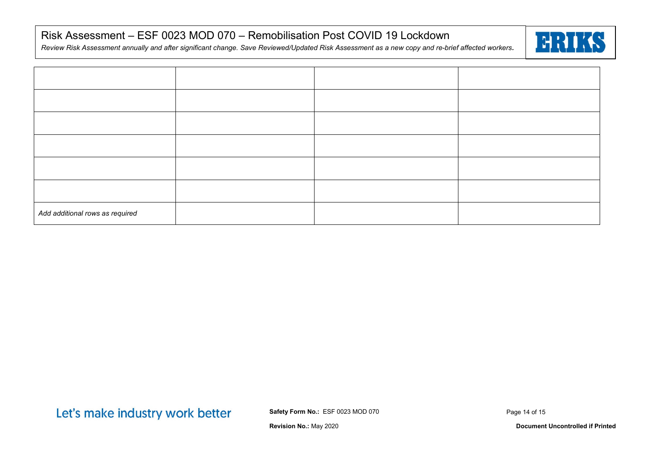*Review Risk Assessment annually and after significant change. Save Reviewed/Updated Risk Assessment as a new copy and re-brief affected workers.*



| Add additional rows as required |  |  |
|---------------------------------|--|--|

Let's make industry work better

**Safety Form No.:** ESF 0023 MOD 070

Page 14 of 15

**Revision No.:** May 2020